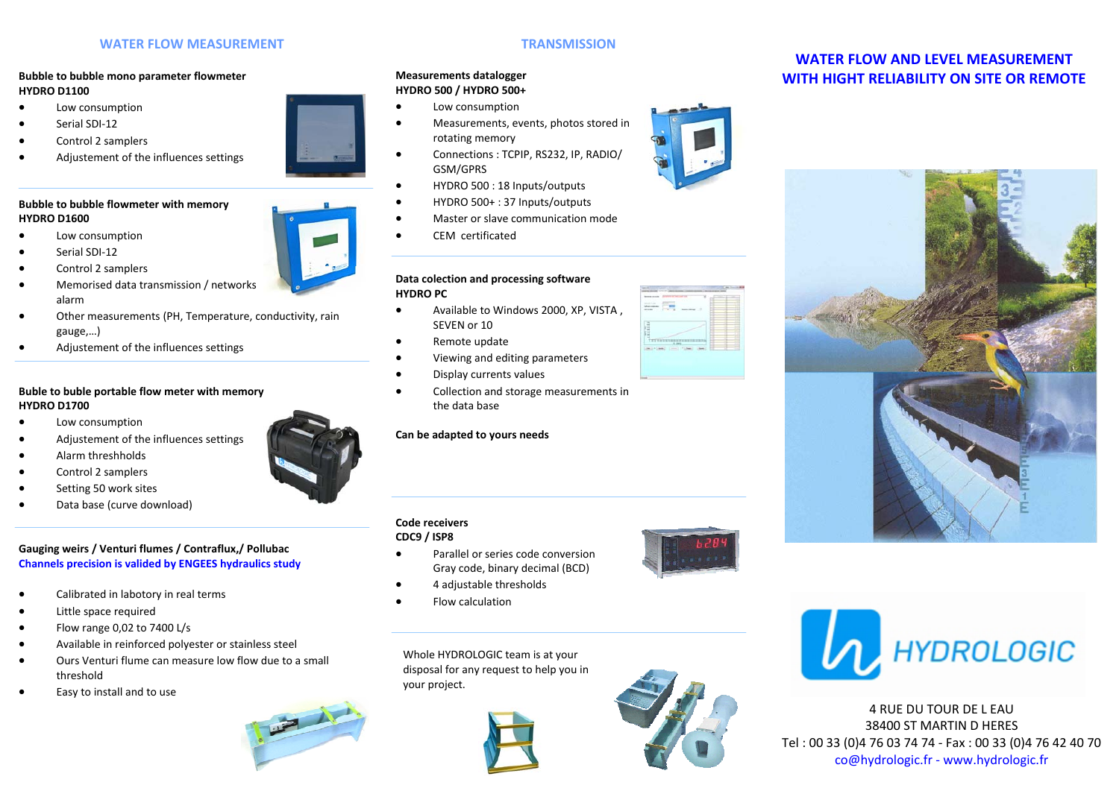### **WATER FLOW MEASUREMENT**

#### **Bubble to bubble mono parameter flowmeter HYDRO D1100**

- Low consumption
- Serial SDI‐12
- Control 2 samplers
- Adjustement of the influences settings

### **Bubble to bubble flowmeter with memory HYDRO D1600**

- Low consumption
- Serial SDI‐12
- Control 2 samplers
- Memorised data transmission / networks alarm
- Other measurements (PH, Temperature, conductivity, rain gauge,…)
- Adjustement of the influences settings

### **Buble to buble portable flow meter with memory HYDRO D1700**

- Low consumption
- Adjustement of the influences settings
- Alarm threshholds
- Control 2 samplers
- Setting 50 work sites
- Data base (curve download)

## **Gauging weirs / Venturi flumes / Contraflux,/ Pollubac Channels precision is valided by ENGEES hydraulics study**

- Calibrated in labotory in real terms
- Little space required
- Flow range 0,02 to 7400 L/s
- Available in reinforced polyester or stainless steel
- Ours Venturi flume can measure low flow due to a small threshold
- Easy to install and to use



## **TRANSMISSION**

### **Measurements datalogger HYDRO 500 / HYDRO 500+**

- Low consumption
- Measurements, events, photos stored in rotating memory
- Connections : TCPIP, RS232, IP, RADIO/ GSM/GPRS
- HYDRO 500 : 18 Inputs/outputs
- HYDRO 500+ : 37 Inputs/outputs
- Master or slave communication mode
- CEM certificated

#### **Data colection and processing software HYDRO PC**

- Available to Windows 2000, XP, VISTA , SEVEN or 10
- Remote update
- Viewing and editing parameters
- Display currents values
- Collection and storage measurements in the data base

### **Can be adapted to yours needs**

### **Code receivers**

**CDC9 / ISP8** 

- Parallel or series code conversion Gray code, binary decimal (BCD)
- 4 adjustable thresholds
- Flow calculation

Whole HYDROLOGIC team is at your disposal for any request to help you in your project.





# **WATER FLOW AND LEVEL MEASUREMENT WITH HIGHT RELIABILITY ON SITE OR REMOTE**





4 RUE DU TOUR DE L EAU 38400 ST MARTIN D HERES Tel : 00 33 (0)4 76 03 74 74 ‐ Fax : 00 33 (0)4 76 42 40 70 co@hydrologic.fr ‐ www.hydrologic.fr